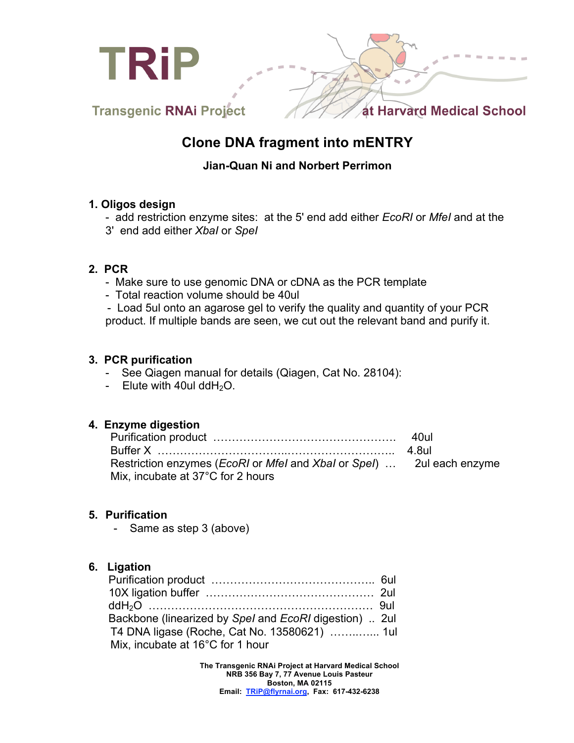

# **Clone DNA fragment into mENTRY**

## **Jian-Quan Ni and Norbert Perrimon**

#### **1. Oligos design**

- add restriction enzyme sites: at the 5' end add either *EcoRI* or *MfeI* and at the

3' end add either *XbaI* or *SpeI*

### **2. PCR**

- Make sure to use genomic DNA or cDNA as the PCR template
- Total reaction volume should be 40ul

- Load 5ul onto an agarose gel to verify the quality and quantity of your PCR product. If multiple bands are seen, we cut out the relevant band and purify it.

#### **3. PCR purification**

- See Qiagen manual for details (Qiagen, Cat No. 28104):
- Elute with 40ul dd $H_2O$ .

### **4. Enzyme digestion**

| Restriction enzymes ( <i>EcoRI</i> or <i>Mfel</i> and <i>Xbal</i> or <i>Spel</i> )  2ul each enzyme |  |
|-----------------------------------------------------------------------------------------------------|--|
| Mix, incubate at 37°C for 2 hours                                                                   |  |

### **5. Purification**

- Same as step 3 (above)

### **6. Ligation**

| Backbone (linearized by Spel and EcoRI digestion)  2ul |  |
|--------------------------------------------------------|--|
| T4 DNA ligase (Roche, Cat No. 13580621)  1ul           |  |
| Mix, incubate at 16°C for 1 hour                       |  |

**The Transgenic RNAi Project at Harvard Medical School NRB 356 Bay 7, 77 Avenue Louis Pasteur Boston, MA 02115 Email: TRiP@flyrnai.org, Fax: 617-432-6238**